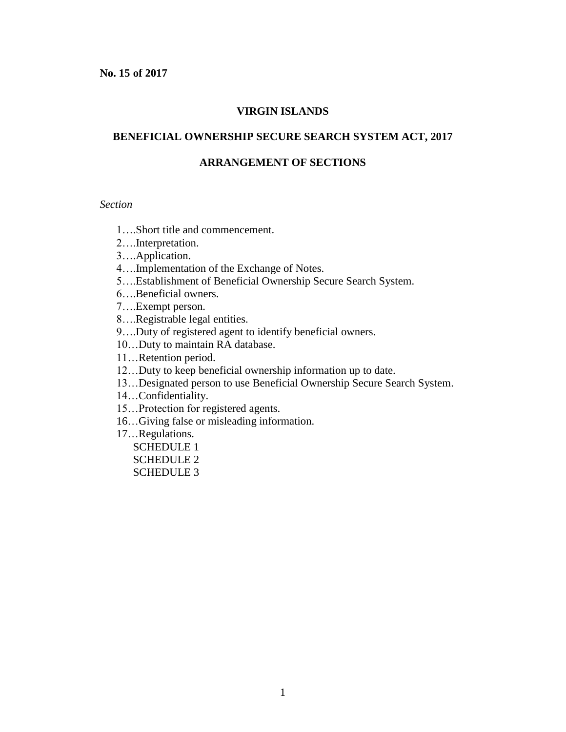### **VIRGIN ISLANDS**

### **BENEFICIAL OWNERSHIP SECURE SEARCH SYSTEM ACT, 2017**

#### **ARRANGEMENT OF SECTIONS**

#### *Section*

- 1….Short title and commencement.
- 2….Interpretation.
- 3….Application.
- 4….Implementation of the Exchange of Notes.
- 5….Establishment of Beneficial Ownership Secure Search System.
- 6….Beneficial owners.
- 7….Exempt person.
- 8….Registrable legal entities.
- 9….Duty of registered agent to identify beneficial owners.
- 10…Duty to maintain RA database.
- 11…Retention period.
- 12…Duty to keep beneficial ownership information up to date.
- 13…Designated person to use Beneficial Ownership Secure Search System.
- 14…Confidentiality.
- 15…Protection for registered agents.
- 16…Giving false or misleading information.
- 17…Regulations.
	- SCHEDULE 1 SCHEDULE 2
	- SCHEDULE 3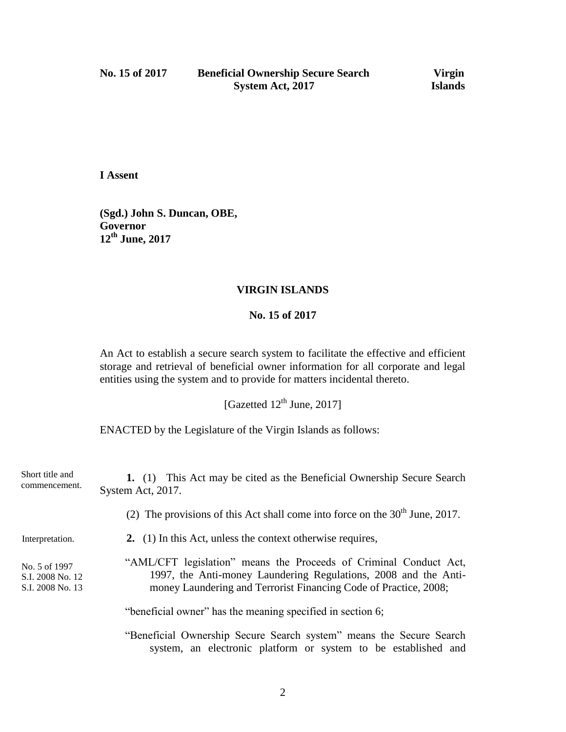**I Assent**

**(Sgd.) John S. Duncan, OBE, Governor 12th June, 2017**

## **VIRGIN ISLANDS**

### **No. 15 of 2017**

An Act to establish a secure search system to facilitate the effective and efficient storage and retrieval of beneficial owner information for all corporate and legal entities using the system and to provide for matters incidental thereto.

[Gazetted  $12^{th}$  June, 2017]

ENACTED by the Legislature of the Virgin Islands as follows:

| Short title and<br>commencement.                      | 1. (1) This Act may be cited as the Beneficial Ownership Secure Search<br>System Act, 2017.                                                                                                              |
|-------------------------------------------------------|----------------------------------------------------------------------------------------------------------------------------------------------------------------------------------------------------------|
|                                                       | (2) The provisions of this Act shall come into force on the $30th$ June, 2017.                                                                                                                           |
| Interpretation.                                       | 2. (1) In this Act, unless the context otherwise requires,                                                                                                                                               |
| No. 5 of 1997<br>S.I. 2008 No. 12<br>S.I. 2008 No. 13 | "AML/CFT legislation" means the Proceeds of Criminal Conduct Act,<br>1997, the Anti-money Laundering Regulations, 2008 and the Anti-<br>money Laundering and Terrorist Financing Code of Practice, 2008; |
|                                                       | "beneficial owner" has the meaning specified in section 6;                                                                                                                                               |
|                                                       | "Beneficial Ownership Secure Search system" means the Secure Search<br>system, an electronic platform or system to be established and                                                                    |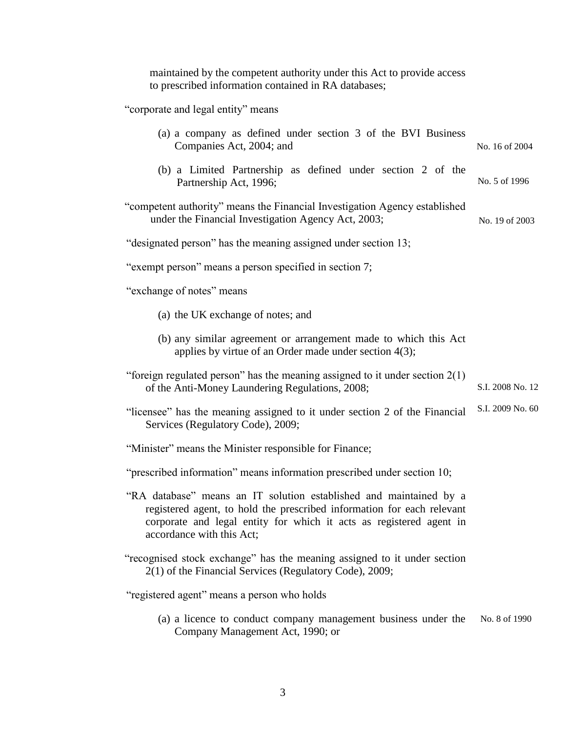maintained by the competent authority under this Act to provide access to prescribed information contained in RA databases;

"corporate and legal entity" means

| (a) a company as defined under section 3 of the BVI Business<br>Companies Act, 2004; and                                                                                                                                                         | No. 16 of 2004   |
|--------------------------------------------------------------------------------------------------------------------------------------------------------------------------------------------------------------------------------------------------|------------------|
|                                                                                                                                                                                                                                                  |                  |
| (b) a Limited Partnership as defined under section 2 of the<br>Partnership Act, 1996;                                                                                                                                                            | No. 5 of 1996    |
| "competent authority" means the Financial Investigation Agency established<br>under the Financial Investigation Agency Act, 2003;                                                                                                                | No. 19 of 2003   |
| "designated person" has the meaning assigned under section 13;                                                                                                                                                                                   |                  |
| "exempt person" means a person specified in section 7;                                                                                                                                                                                           |                  |
| "exchange of notes" means                                                                                                                                                                                                                        |                  |
| (a) the UK exchange of notes; and                                                                                                                                                                                                                |                  |
| (b) any similar agreement or arrangement made to which this Act<br>applies by virtue of an Order made under section $4(3)$ ;                                                                                                                     |                  |
| "foreign regulated person" has the meaning assigned to it under section $2(1)$<br>of the Anti-Money Laundering Regulations, 2008;                                                                                                                | S.I. 2008 No. 12 |
| "licensee" has the meaning assigned to it under section 2 of the Financial<br>Services (Regulatory Code), 2009;                                                                                                                                  | S.I. 2009 No. 60 |
| "Minister" means the Minister responsible for Finance;                                                                                                                                                                                           |                  |
| "prescribed information" means information prescribed under section 10;                                                                                                                                                                          |                  |
| "RA database" means an IT solution established and maintained by a<br>registered agent, to hold the prescribed information for each relevant<br>corporate and legal entity for which it acts as registered agent in<br>accordance with this Act; |                  |
| "recognised stock exchange" has the meaning assigned to it under section<br>2(1) of the Financial Services (Regulatory Code), 2009;                                                                                                              |                  |
| "registered agent" means a person who holds                                                                                                                                                                                                      |                  |
| (a) a licence to conduct company management business under the<br>Company Management Act, 1990; or                                                                                                                                               | No. 8 of 1990    |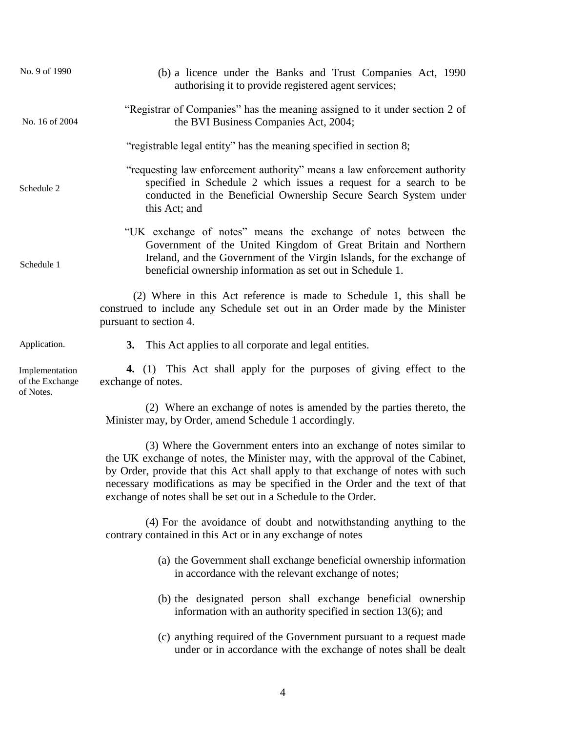| No. 9 of 1990                                  | (b) a licence under the Banks and Trust Companies Act, 1990<br>authorising it to provide registered agent services;                                                                                                                                                                                                                                                                         |
|------------------------------------------------|---------------------------------------------------------------------------------------------------------------------------------------------------------------------------------------------------------------------------------------------------------------------------------------------------------------------------------------------------------------------------------------------|
| No. 16 of 2004                                 | "Registrar of Companies" has the meaning assigned to it under section 2 of<br>the BVI Business Companies Act, 2004;                                                                                                                                                                                                                                                                         |
|                                                | "registrable legal entity" has the meaning specified in section 8;                                                                                                                                                                                                                                                                                                                          |
| Schedule 2                                     | "requesting law enforcement authority" means a law enforcement authority<br>specified in Schedule 2 which issues a request for a search to be<br>conducted in the Beneficial Ownership Secure Search System under<br>this Act; and                                                                                                                                                          |
| Schedule 1                                     | "UK exchange of notes" means the exchange of notes between the<br>Government of the United Kingdom of Great Britain and Northern<br>Ireland, and the Government of the Virgin Islands, for the exchange of<br>beneficial ownership information as set out in Schedule 1.                                                                                                                    |
|                                                | (2) Where in this Act reference is made to Schedule 1, this shall be<br>construed to include any Schedule set out in an Order made by the Minister<br>pursuant to section 4.                                                                                                                                                                                                                |
| Application.                                   | This Act applies to all corporate and legal entities.<br>3.                                                                                                                                                                                                                                                                                                                                 |
| Implementation<br>of the Exchange<br>of Notes. | 4. (1) This Act shall apply for the purposes of giving effect to the<br>exchange of notes.                                                                                                                                                                                                                                                                                                  |
|                                                | (2) Where an exchange of notes is amended by the parties thereto, the<br>Minister may, by Order, amend Schedule 1 accordingly.                                                                                                                                                                                                                                                              |
|                                                | (3) Where the Government enters into an exchange of notes similar to<br>the UK exchange of notes, the Minister may, with the approval of the Cabinet,<br>by Order, provide that this Act shall apply to that exchange of notes with such<br>necessary modifications as may be specified in the Order and the text of that<br>exchange of notes shall be set out in a Schedule to the Order. |
|                                                | (4) For the avoidance of doubt and notwithstanding anything to the<br>contrary contained in this Act or in any exchange of notes                                                                                                                                                                                                                                                            |
|                                                | (a) the Government shall exchange beneficial ownership information<br>in accordance with the relevant exchange of notes;                                                                                                                                                                                                                                                                    |
|                                                | (b) the designated person shall exchange beneficial ownership<br>information with an authority specified in section $13(6)$ ; and                                                                                                                                                                                                                                                           |
|                                                | (c) anything required of the Government pursuant to a request made<br>under or in accordance with the exchange of notes shall be dealt                                                                                                                                                                                                                                                      |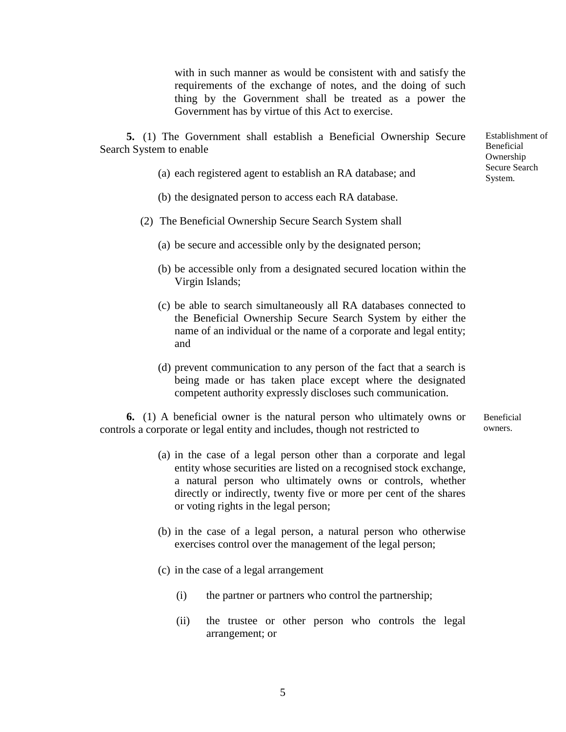with in such manner as would be consistent with and satisfy the requirements of the exchange of notes, and the doing of such thing by the Government shall be treated as a power the Government has by virtue of this Act to exercise.

**5.** (1) The Government shall establish a Beneficial Ownership Secure Search System to enable

- (a) each registered agent to establish an RA database; and
- (b) the designated person to access each RA database.
- (2) The Beneficial Ownership Secure Search System shall
	- (a) be secure and accessible only by the designated person;
	- (b) be accessible only from a designated secured location within the Virgin Islands;
	- (c) be able to search simultaneously all RA databases connected to the Beneficial Ownership Secure Search System by either the name of an individual or the name of a corporate and legal entity; and
	- (d) prevent communication to any person of the fact that a search is being made or has taken place except where the designated competent authority expressly discloses such communication.

**6.** (1) A beneficial owner is the natural person who ultimately owns or controls a corporate or legal entity and includes, though not restricted to Beneficial owners.

- (a) in the case of a legal person other than a corporate and legal entity whose securities are listed on a recognised stock exchange, a natural person who ultimately owns or controls, whether directly or indirectly, twenty five or more per cent of the shares or voting rights in the legal person;
- (b) in the case of a legal person, a natural person who otherwise exercises control over the management of the legal person;
- (c) in the case of a legal arrangement
	- (i) the partner or partners who control the partnership;
	- (ii) the trustee or other person who controls the legal arrangement; or

Establishment of Beneficial Ownership Secure Search System.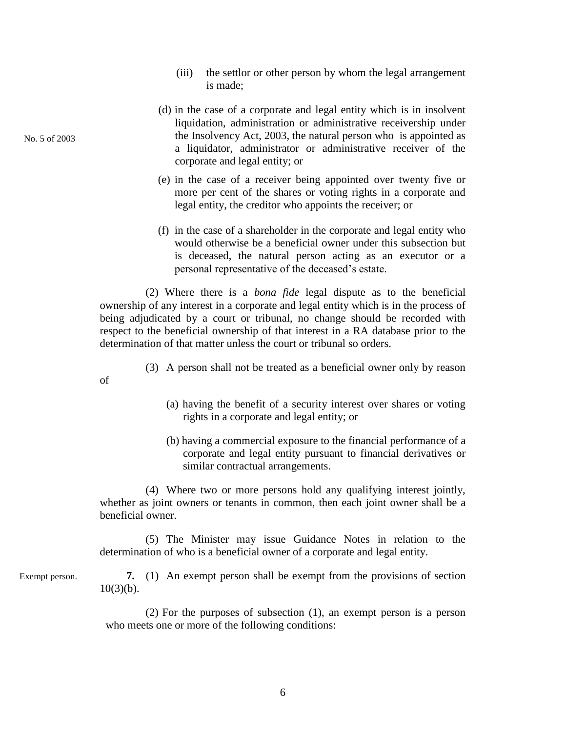- (iii) the settlor or other person by whom the legal arrangement is made;
- (d) in the case of a corporate and legal entity which is in insolvent liquidation, administration or administrative receivership under the Insolvency Act, 2003, the natural person who is appointed as a liquidator, administrator or administrative receiver of the corporate and legal entity; or
- (e) in the case of a receiver being appointed over twenty five or more per cent of the shares or voting rights in a corporate and legal entity, the creditor who appoints the receiver; or
- (f) in the case of a shareholder in the corporate and legal entity who would otherwise be a beneficial owner under this subsection but is deceased, the natural person acting as an executor or a personal representative of the deceased's estate.

(2) Where there is a *bona fide* legal dispute as to the beneficial ownership of any interest in a corporate and legal entity which is in the process of being adjudicated by a court or tribunal, no change should be recorded with respect to the beneficial ownership of that interest in a RA database prior to the determination of that matter unless the court or tribunal so orders.

- (3) A person shall not be treated as a beneficial owner only by reason
	- (a) having the benefit of a security interest over shares or voting rights in a corporate and legal entity; or
	- (b) having a commercial exposure to the financial performance of a corporate and legal entity pursuant to financial derivatives or similar contractual arrangements.

(4) Where two or more persons hold any qualifying interest jointly, whether as joint owners or tenants in common, then each joint owner shall be a beneficial owner.

(5) The Minister may issue Guidance Notes in relation to the determination of who is a beneficial owner of a corporate and legal entity.

Exempt person.

No. 5 of 2003

of

**7.** (1) An exempt person shall be exempt from the provisions of section  $10(3)(b)$ .

(2) For the purposes of subsection (1), an exempt person is a person who meets one or more of the following conditions: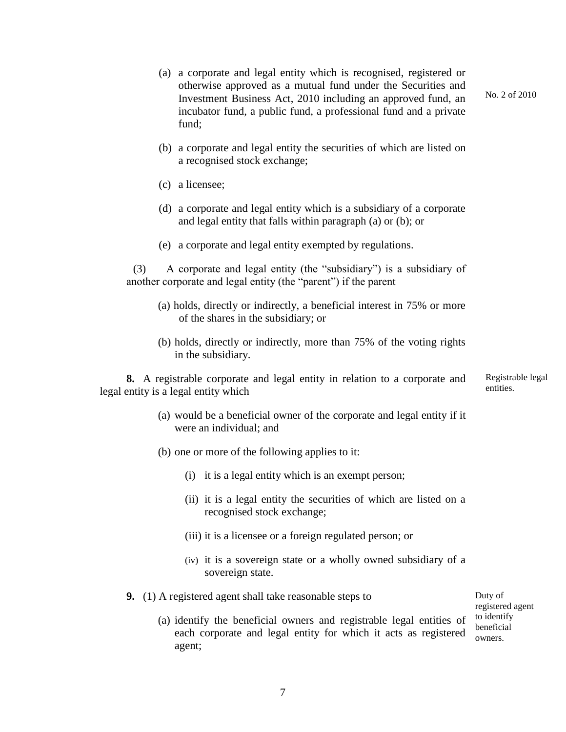(a) a corporate and legal entity which is recognised, registered or otherwise approved as a mutual fund under the Securities and Investment Business Act, 2010 including an approved fund, an incubator fund, a public fund, a professional fund and a private fund; (b) a corporate and legal entity the securities of which are listed on a recognised stock exchange; (c) a licensee; (d) a corporate and legal entity which is a subsidiary of a corporate and legal entity that falls within paragraph (a) or (b); or (e) a corporate and legal entity exempted by regulations. (3) A corporate and legal entity (the "subsidiary") is a subsidiary of another corporate and legal entity (the "parent") if the parent (a) holds, directly or indirectly, a beneficial interest in 75% or more of the shares in the subsidiary; or (b) holds, directly or indirectly, more than 75% of the voting rights in the subsidiary. **8.** A registrable corporate and legal entity in relation to a corporate and legal entity is a legal entity which (a) would be a beneficial owner of the corporate and legal entity if it were an individual; and (b) one or more of the following applies to it: (i) it is a legal entity which is an exempt person; (ii) it is a legal entity the securities of which are listed on a recognised stock exchange; (iii) it is a licensee or a foreign regulated person; or (iv) it is a sovereign state or a wholly owned subsidiary of a sovereign state. **9.** (1) A registered agent shall take reasonable steps to (a) identify the beneficial owners and registrable legal entities of each corporate and legal entity for which it acts as registered agent; No. 2 of 2010 Registrable legal entities. Duty of registered agent to identify beneficial owners.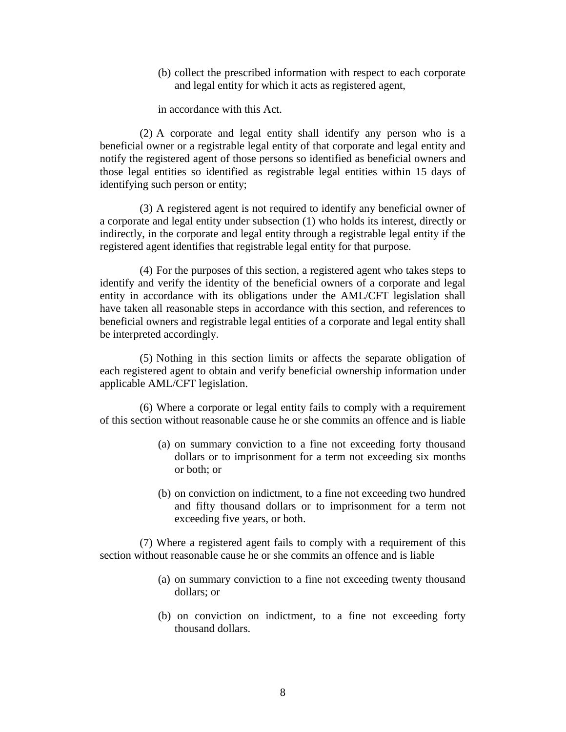(b) collect the prescribed information with respect to each corporate and legal entity for which it acts as registered agent,

in accordance with this Act.

(2) A corporate and legal entity shall identify any person who is a beneficial owner or a registrable legal entity of that corporate and legal entity and notify the registered agent of those persons so identified as beneficial owners and those legal entities so identified as registrable legal entities within 15 days of identifying such person or entity;

(3) A registered agent is not required to identify any beneficial owner of a corporate and legal entity under subsection (1) who holds its interest, directly or indirectly, in the corporate and legal entity through a registrable legal entity if the registered agent identifies that registrable legal entity for that purpose.

(4) For the purposes of this section, a registered agent who takes steps to identify and verify the identity of the beneficial owners of a corporate and legal entity in accordance with its obligations under the AML/CFT legislation shall have taken all reasonable steps in accordance with this section, and references to beneficial owners and registrable legal entities of a corporate and legal entity shall be interpreted accordingly.

(5) Nothing in this section limits or affects the separate obligation of each registered agent to obtain and verify beneficial ownership information under applicable AML/CFT legislation.

(6) Where a corporate or legal entity fails to comply with a requirement of this section without reasonable cause he or she commits an offence and is liable

- (a) on summary conviction to a fine not exceeding forty thousand dollars or to imprisonment for a term not exceeding six months or both; or
- (b) on conviction on indictment, to a fine not exceeding two hundred and fifty thousand dollars or to imprisonment for a term not exceeding five years, or both.

(7) Where a registered agent fails to comply with a requirement of this section without reasonable cause he or she commits an offence and is liable

- (a) on summary conviction to a fine not exceeding twenty thousand dollars; or
- (b) on conviction on indictment, to a fine not exceeding forty thousand dollars.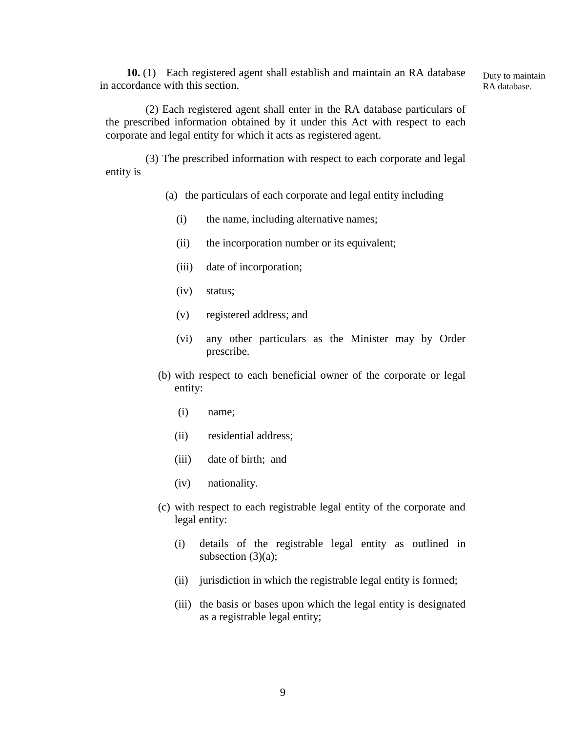**10.** (1) Each registered agent shall establish and maintain an RA database in accordance with this section.

Duty to maintain RA database.

(2) Each registered agent shall enter in the RA database particulars of the prescribed information obtained by it under this Act with respect to each corporate and legal entity for which it acts as registered agent.

(3) The prescribed information with respect to each corporate and legal entity is

- (a) the particulars of each corporate and legal entity including
	- (i) the name, including alternative names;
	- (ii) the incorporation number or its equivalent;
	- (iii) date of incorporation;
	- (iv) status;
	- (v) registered address; and
	- (vi) any other particulars as the Minister may by Order prescribe.
- (b) with respect to each beneficial owner of the corporate or legal entity:
	- (i) name;
	- (ii) residential address;
	- (iii) date of birth; and
	- (iv) nationality.
- (c) with respect to each registrable legal entity of the corporate and legal entity:
	- (i) details of the registrable legal entity as outlined in subsection  $(3)(a)$ ;
	- (ii) jurisdiction in which the registrable legal entity is formed;
	- (iii) the basis or bases upon which the legal entity is designated as a registrable legal entity;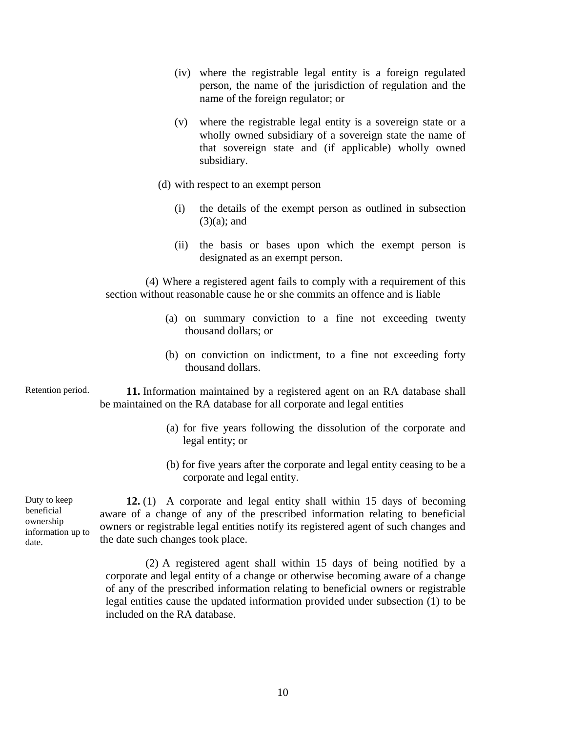- (iv) where the registrable legal entity is a foreign regulated person, the name of the jurisdiction of regulation and the name of the foreign regulator; or
- (v) where the registrable legal entity is a sovereign state or a wholly owned subsidiary of a sovereign state the name of that sovereign state and (if applicable) wholly owned subsidiary.
- (d) with respect to an exempt person
	- (i) the details of the exempt person as outlined in subsection  $(3)(a)$ ; and
	- (ii) the basis or bases upon which the exempt person is designated as an exempt person.

(4) Where a registered agent fails to comply with a requirement of this section without reasonable cause he or she commits an offence and is liable

- (a) on summary conviction to a fine not exceeding twenty thousand dollars; or
- (b) on conviction on indictment, to a fine not exceeding forty thousand dollars.
- **11.** Information maintained by a registered agent on an RA database shall be maintained on the RA database for all corporate and legal entities Retention period.
	- (a) for five years following the dissolution of the corporate and legal entity; or
	- (b) for five years after the corporate and legal entity ceasing to be a corporate and legal entity.

Duty to keep beneficial ownership information up to date.

**12.** (1) A corporate and legal entity shall within 15 days of becoming aware of a change of any of the prescribed information relating to beneficial owners or registrable legal entities notify its registered agent of such changes and the date such changes took place.

(2) A registered agent shall within 15 days of being notified by a corporate and legal entity of a change or otherwise becoming aware of a change of any of the prescribed information relating to beneficial owners or registrable legal entities cause the updated information provided under subsection (1) to be included on the RA database.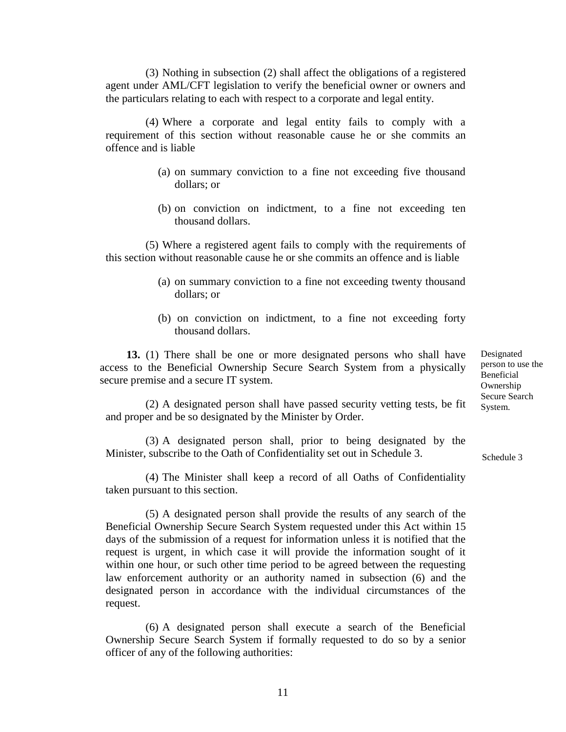(3) Nothing in subsection (2) shall affect the obligations of a registered agent under AML/CFT legislation to verify the beneficial owner or owners and the particulars relating to each with respect to a corporate and legal entity.

(4) Where a corporate and legal entity fails to comply with a requirement of this section without reasonable cause he or she commits an offence and is liable

- (a) on summary conviction to a fine not exceeding five thousand dollars; or
- (b) on conviction on indictment, to a fine not exceeding ten thousand dollars.

(5) Where a registered agent fails to comply with the requirements of this section without reasonable cause he or she commits an offence and is liable

- (a) on summary conviction to a fine not exceeding twenty thousand dollars; or
- (b) on conviction on indictment, to a fine not exceeding forty thousand dollars.

**13.** (1) There shall be one or more designated persons who shall have access to the Beneficial Ownership Secure Search System from a physically secure premise and a secure IT system.

Designated person to use the Beneficial Ownership Secure Search System.

Schedule 3

(2) A designated person shall have passed security vetting tests, be fit and proper and be so designated by the Minister by Order.

(3) A designated person shall, prior to being designated by the Minister, subscribe to the Oath of Confidentiality set out in Schedule 3.

(4) The Minister shall keep a record of all Oaths of Confidentiality taken pursuant to this section.

(5) A designated person shall provide the results of any search of the Beneficial Ownership Secure Search System requested under this Act within 15 days of the submission of a request for information unless it is notified that the request is urgent, in which case it will provide the information sought of it within one hour, or such other time period to be agreed between the requesting law enforcement authority or an authority named in subsection (6) and the designated person in accordance with the individual circumstances of the request.

(6) A designated person shall execute a search of the Beneficial Ownership Secure Search System if formally requested to do so by a senior officer of any of the following authorities: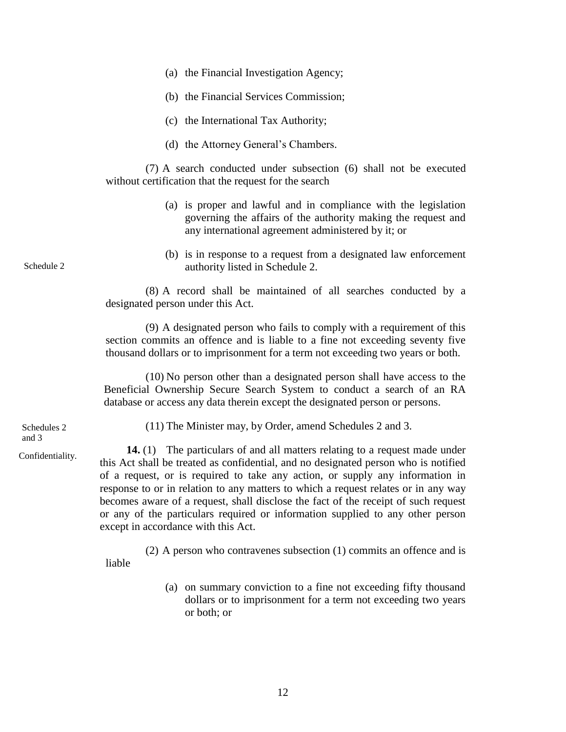- (a) the Financial Investigation Agency;
- (b) the Financial Services Commission;
- (c) the International Tax Authority;
- (d) the Attorney General's Chambers.

(7) A search conducted under subsection (6) shall not be executed without certification that the request for the search

- (a) is proper and lawful and in compliance with the legislation governing the affairs of the authority making the request and any international agreement administered by it; or
- (b) is in response to a request from a designated law enforcement authority listed in Schedule 2.

(8) A record shall be maintained of all searches conducted by a designated person under this Act.

(9) A designated person who fails to comply with a requirement of this section commits an offence and is liable to a fine not exceeding seventy five thousand dollars or to imprisonment for a term not exceeding two years or both.

(10) No person other than a designated person shall have access to the Beneficial Ownership Secure Search System to conduct a search of an RA database or access any data therein except the designated person or persons.

Schedules 2 and 3

Schedule 2

Confidentiality.

(11) The Minister may, by Order, amend Schedules 2 and 3.

**14.** (1) The particulars of and all matters relating to a request made under this Act shall be treated as confidential, and no designated person who is notified of a request, or is required to take any action, or supply any information in response to or in relation to any matters to which a request relates or in any way becomes aware of a request, shall disclose the fact of the receipt of such request or any of the particulars required or information supplied to any other person except in accordance with this Act.

(2) A person who contravenes subsection (1) commits an offence and is liable

> (a) on summary conviction to a fine not exceeding fifty thousand dollars or to imprisonment for a term not exceeding two years or both; or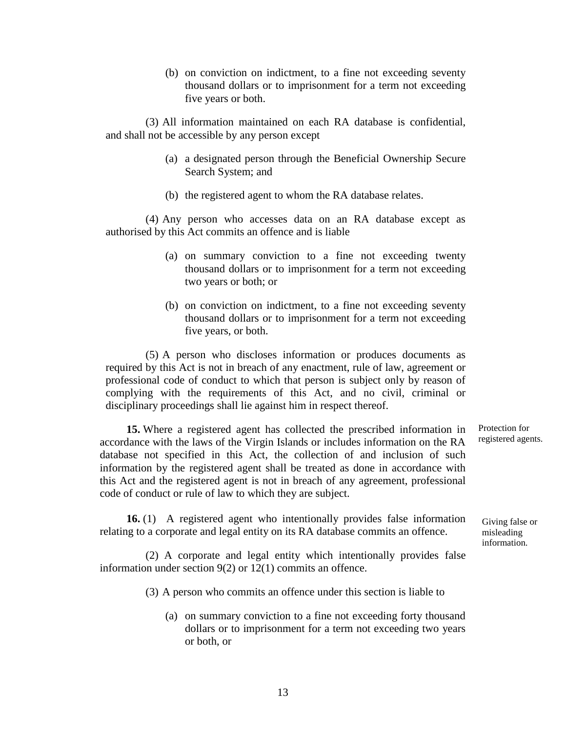(b) on conviction on indictment, to a fine not exceeding seventy thousand dollars or to imprisonment for a term not exceeding five years or both.

(3) All information maintained on each RA database is confidential, and shall not be accessible by any person except

- (a) a designated person through the Beneficial Ownership Secure Search System; and
- (b) the registered agent to whom the RA database relates.

(4) Any person who accesses data on an RA database except as authorised by this Act commits an offence and is liable

- (a) on summary conviction to a fine not exceeding twenty thousand dollars or to imprisonment for a term not exceeding two years or both; or
- (b) on conviction on indictment, to a fine not exceeding seventy thousand dollars or to imprisonment for a term not exceeding five years, or both.

(5) A person who discloses information or produces documents as required by this Act is not in breach of any enactment, rule of law, agreement or professional code of conduct to which that person is subject only by reason of complying with the requirements of this Act, and no civil, criminal or disciplinary proceedings shall lie against him in respect thereof.

**15.** Where a registered agent has collected the prescribed information in accordance with the laws of the Virgin Islands or includes information on the RA database not specified in this Act, the collection of and inclusion of such information by the registered agent shall be treated as done in accordance with this Act and the registered agent is not in breach of any agreement, professional code of conduct or rule of law to which they are subject.

**16.** (1) A registered agent who intentionally provides false information relating to a corporate and legal entity on its RA database commits an offence.

(2) A corporate and legal entity which intentionally provides false information under section 9(2) or 12(1) commits an offence.

(3) A person who commits an offence under this section is liable to

(a) on summary conviction to a fine not exceeding forty thousand dollars or to imprisonment for a term not exceeding two years or both, or

Protection for registered agents.

Giving false or misleading information.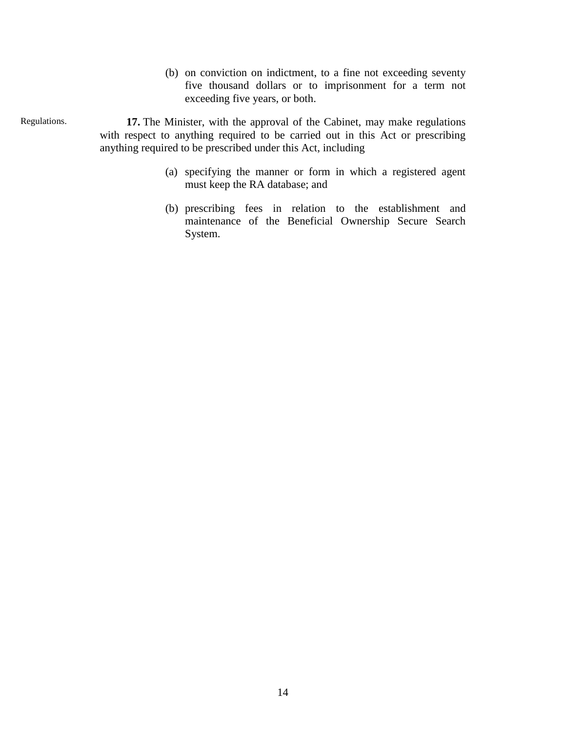(b) on conviction on indictment, to a fine not exceeding seventy five thousand dollars or to imprisonment for a term not exceeding five years, or both.

**17.** The Minister, with the approval of the Cabinet, may make regulations with respect to anything required to be carried out in this Act or prescribing anything required to be prescribed under this Act, including

Regulations.

- (a) specifying the manner or form in which a registered agent must keep the RA database; and
- (b) prescribing fees in relation to the establishment and maintenance of the Beneficial Ownership Secure Search System.

14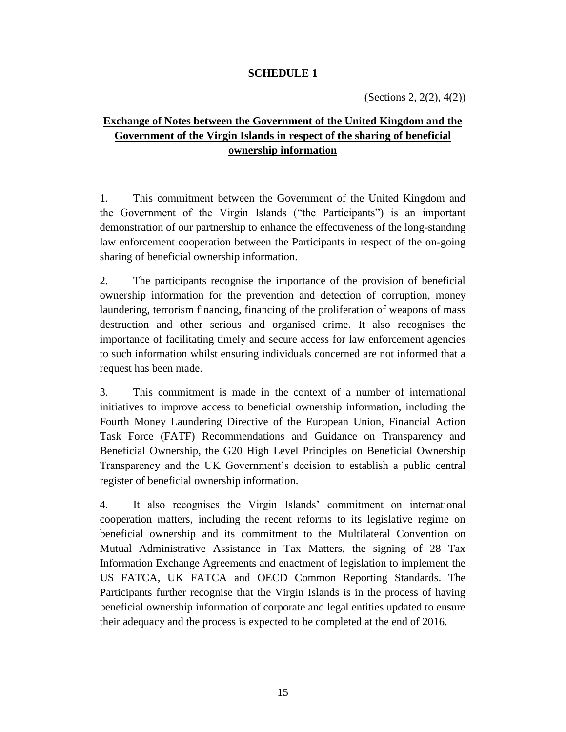## **SCHEDULE 1**

# **Exchange of Notes between the Government of the United Kingdom and the Government of the Virgin Islands in respect of the sharing of beneficial ownership information**

1. This commitment between the Government of the United Kingdom and the Government of the Virgin Islands ("the Participants") is an important demonstration of our partnership to enhance the effectiveness of the long-standing law enforcement cooperation between the Participants in respect of the on-going sharing of beneficial ownership information.

2. The participants recognise the importance of the provision of beneficial ownership information for the prevention and detection of corruption, money laundering, terrorism financing, financing of the proliferation of weapons of mass destruction and other serious and organised crime. It also recognises the importance of facilitating timely and secure access for law enforcement agencies to such information whilst ensuring individuals concerned are not informed that a request has been made.

3. This commitment is made in the context of a number of international initiatives to improve access to beneficial ownership information, including the Fourth Money Laundering Directive of the European Union, Financial Action Task Force (FATF) Recommendations and Guidance on Transparency and Beneficial Ownership, the G20 High Level Principles on Beneficial Ownership Transparency and the UK Government's decision to establish a public central register of beneficial ownership information.

4. It also recognises the Virgin Islands' commitment on international cooperation matters, including the recent reforms to its legislative regime on beneficial ownership and its commitment to the Multilateral Convention on Mutual Administrative Assistance in Tax Matters, the signing of 28 Tax Information Exchange Agreements and enactment of legislation to implement the US FATCA, UK FATCA and OECD Common Reporting Standards. The Participants further recognise that the Virgin Islands is in the process of having beneficial ownership information of corporate and legal entities updated to ensure their adequacy and the process is expected to be completed at the end of 2016.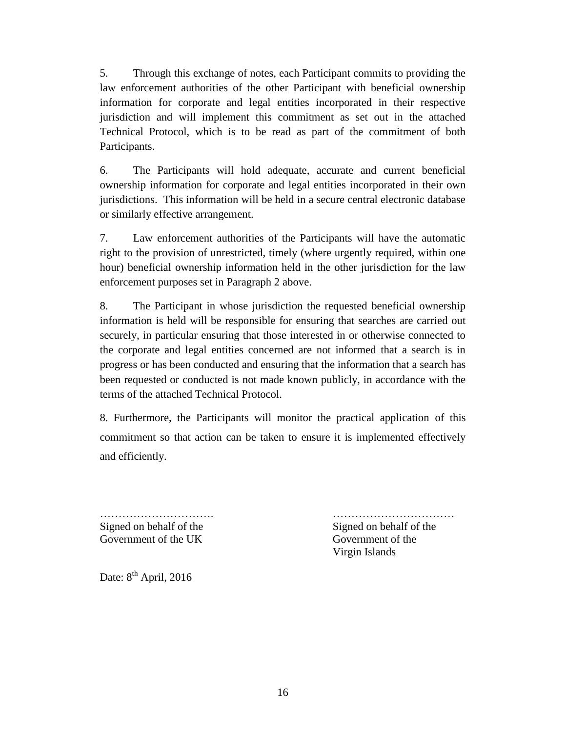5. Through this exchange of notes, each Participant commits to providing the law enforcement authorities of the other Participant with beneficial ownership information for corporate and legal entities incorporated in their respective jurisdiction and will implement this commitment as set out in the attached Technical Protocol, which is to be read as part of the commitment of both Participants.

6. The Participants will hold adequate, accurate and current beneficial ownership information for corporate and legal entities incorporated in their own jurisdictions. This information will be held in a secure central electronic database or similarly effective arrangement.

7. Law enforcement authorities of the Participants will have the automatic right to the provision of unrestricted, timely (where urgently required, within one hour) beneficial ownership information held in the other jurisdiction for the law enforcement purposes set in Paragraph 2 above.

8. The Participant in whose jurisdiction the requested beneficial ownership information is held will be responsible for ensuring that searches are carried out securely, in particular ensuring that those interested in or otherwise connected to the corporate and legal entities concerned are not informed that a search is in progress or has been conducted and ensuring that the information that a search has been requested or conducted is not made known publicly, in accordance with the terms of the attached Technical Protocol.

8. Furthermore, the Participants will monitor the practical application of this commitment so that action can be taken to ensure it is implemented effectively and efficiently.

Signed on behalf of the Signed on behalf of the Signed on behalf of the Signed on behalf of the Signed on behalf of the Signed on behalf of the Signed on behalf of the Signed on behalf of the Signed on behalf of the Signed Government of the UK Government of the

…………………………. ……………………………

Virgin Islands

Date: 8<sup>th</sup> April, 2016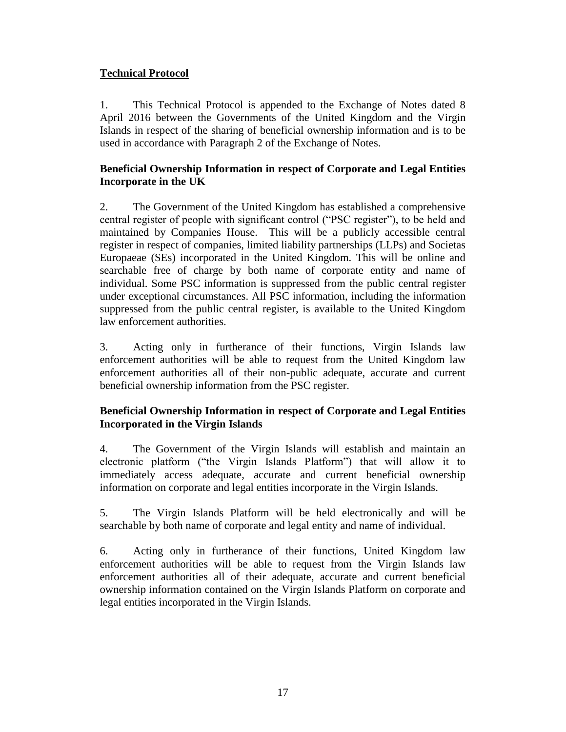# **Technical Protocol**

1. This Technical Protocol is appended to the Exchange of Notes dated 8 April 2016 between the Governments of the United Kingdom and the Virgin Islands in respect of the sharing of beneficial ownership information and is to be used in accordance with Paragraph 2 of the Exchange of Notes.

## **Beneficial Ownership Information in respect of Corporate and Legal Entities Incorporate in the UK**

2. The Government of the United Kingdom has established a comprehensive central register of people with significant control ("PSC register"), to be held and maintained by Companies House. This will be a publicly accessible central register in respect of companies, limited liability partnerships (LLPs) and Societas Europaeae (SEs) incorporated in the United Kingdom. This will be online and searchable free of charge by both name of corporate entity and name of individual. Some PSC information is suppressed from the public central register under exceptional circumstances. All PSC information, including the information suppressed from the public central register, is available to the United Kingdom law enforcement authorities.

3. Acting only in furtherance of their functions, Virgin Islands law enforcement authorities will be able to request from the United Kingdom law enforcement authorities all of their non-public adequate, accurate and current beneficial ownership information from the PSC register.

## **Beneficial Ownership Information in respect of Corporate and Legal Entities Incorporated in the Virgin Islands**

4. The Government of the Virgin Islands will establish and maintain an electronic platform ("the Virgin Islands Platform") that will allow it to immediately access adequate, accurate and current beneficial ownership information on corporate and legal entities incorporate in the Virgin Islands.

5. The Virgin Islands Platform will be held electronically and will be searchable by both name of corporate and legal entity and name of individual.

6. Acting only in furtherance of their functions, United Kingdom law enforcement authorities will be able to request from the Virgin Islands law enforcement authorities all of their adequate, accurate and current beneficial ownership information contained on the Virgin Islands Platform on corporate and legal entities incorporated in the Virgin Islands.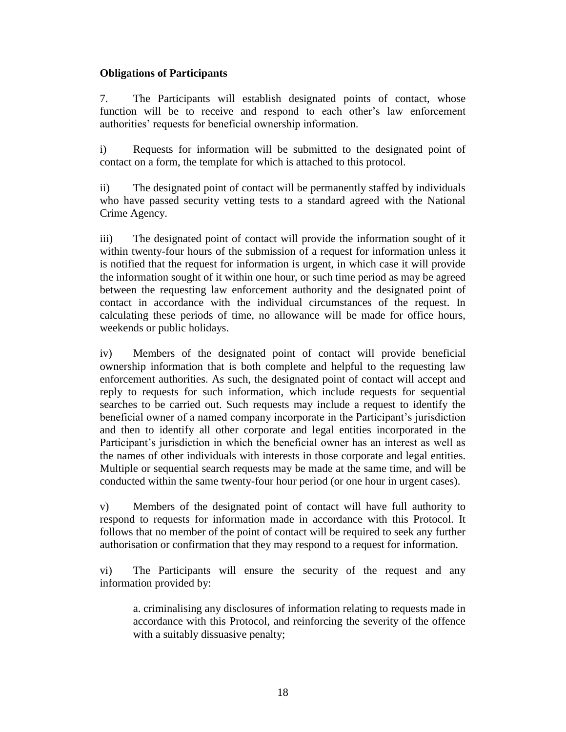### **Obligations of Participants**

7. The Participants will establish designated points of contact, whose function will be to receive and respond to each other's law enforcement authorities' requests for beneficial ownership information.

i) Requests for information will be submitted to the designated point of contact on a form, the template for which is attached to this protocol.

ii) The designated point of contact will be permanently staffed by individuals who have passed security vetting tests to a standard agreed with the National Crime Agency.

iii) The designated point of contact will provide the information sought of it within twenty-four hours of the submission of a request for information unless it is notified that the request for information is urgent, in which case it will provide the information sought of it within one hour, or such time period as may be agreed between the requesting law enforcement authority and the designated point of contact in accordance with the individual circumstances of the request. In calculating these periods of time, no allowance will be made for office hours, weekends or public holidays.

iv) Members of the designated point of contact will provide beneficial ownership information that is both complete and helpful to the requesting law enforcement authorities. As such, the designated point of contact will accept and reply to requests for such information, which include requests for sequential searches to be carried out. Such requests may include a request to identify the beneficial owner of a named company incorporate in the Participant's jurisdiction and then to identify all other corporate and legal entities incorporated in the Participant's jurisdiction in which the beneficial owner has an interest as well as the names of other individuals with interests in those corporate and legal entities. Multiple or sequential search requests may be made at the same time, and will be conducted within the same twenty-four hour period (or one hour in urgent cases).

v) Members of the designated point of contact will have full authority to respond to requests for information made in accordance with this Protocol. It follows that no member of the point of contact will be required to seek any further authorisation or confirmation that they may respond to a request for information.

vi) The Participants will ensure the security of the request and any information provided by:

a. criminalising any disclosures of information relating to requests made in accordance with this Protocol, and reinforcing the severity of the offence with a suitably dissuasive penalty;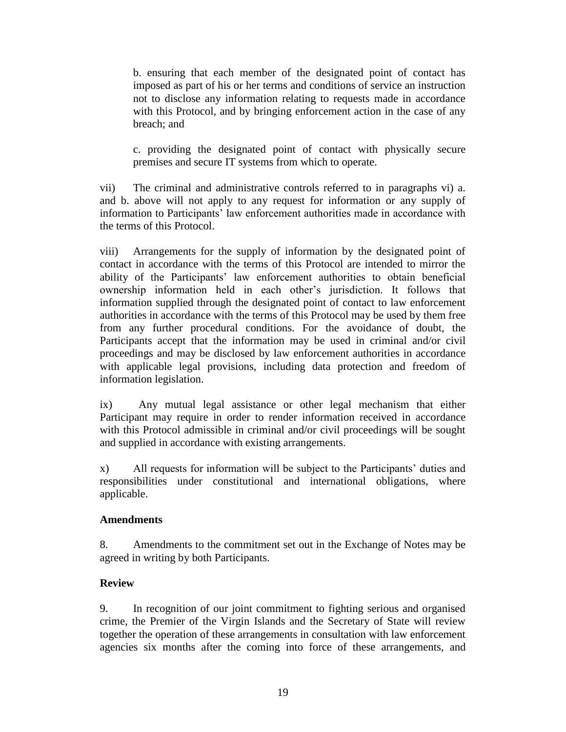b. ensuring that each member of the designated point of contact has imposed as part of his or her terms and conditions of service an instruction not to disclose any information relating to requests made in accordance with this Protocol, and by bringing enforcement action in the case of any breach; and

c. providing the designated point of contact with physically secure premises and secure IT systems from which to operate.

vii) The criminal and administrative controls referred to in paragraphs vi) a. and b. above will not apply to any request for information or any supply of information to Participants' law enforcement authorities made in accordance with the terms of this Protocol.

viii) Arrangements for the supply of information by the designated point of contact in accordance with the terms of this Protocol are intended to mirror the ability of the Participants' law enforcement authorities to obtain beneficial ownership information held in each other's jurisdiction. It follows that information supplied through the designated point of contact to law enforcement authorities in accordance with the terms of this Protocol may be used by them free from any further procedural conditions. For the avoidance of doubt, the Participants accept that the information may be used in criminal and/or civil proceedings and may be disclosed by law enforcement authorities in accordance with applicable legal provisions, including data protection and freedom of information legislation.

ix) Any mutual legal assistance or other legal mechanism that either Participant may require in order to render information received in accordance with this Protocol admissible in criminal and/or civil proceedings will be sought and supplied in accordance with existing arrangements.

x) All requests for information will be subject to the Participants' duties and responsibilities under constitutional and international obligations, where applicable.

### **Amendments**

8. Amendments to the commitment set out in the Exchange of Notes may be agreed in writing by both Participants.

### **Review**

9. In recognition of our joint commitment to fighting serious and organised crime, the Premier of the Virgin Islands and the Secretary of State will review together the operation of these arrangements in consultation with law enforcement agencies six months after the coming into force of these arrangements, and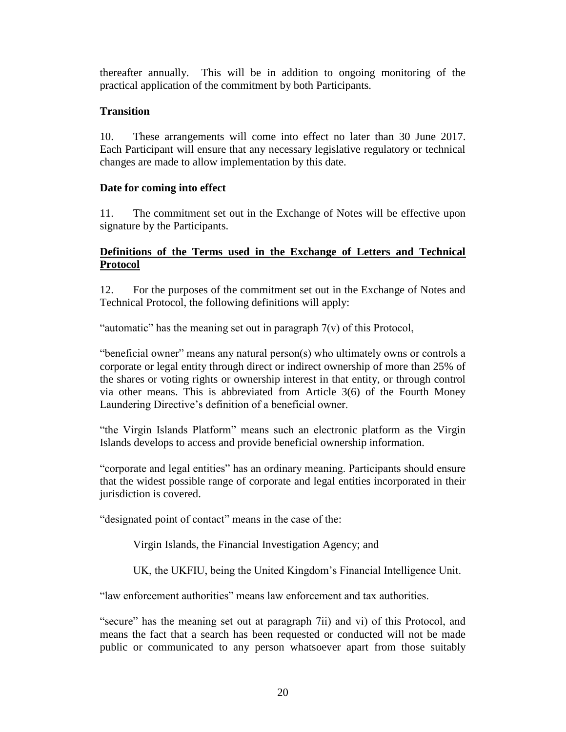thereafter annually. This will be in addition to ongoing monitoring of the practical application of the commitment by both Participants.

## **Transition**

10. These arrangements will come into effect no later than 30 June 2017. Each Participant will ensure that any necessary legislative regulatory or technical changes are made to allow implementation by this date.

### **Date for coming into effect**

11. The commitment set out in the Exchange of Notes will be effective upon signature by the Participants.

## **Definitions of the Terms used in the Exchange of Letters and Technical Protocol**

12. For the purposes of the commitment set out in the Exchange of Notes and Technical Protocol, the following definitions will apply:

"automatic" has the meaning set out in paragraph 7(v) of this Protocol,

"beneficial owner" means any natural person(s) who ultimately owns or controls a corporate or legal entity through direct or indirect ownership of more than 25% of the shares or voting rights or ownership interest in that entity, or through control via other means. This is abbreviated from Article 3(6) of the Fourth Money Laundering Directive's definition of a beneficial owner.

"the Virgin Islands Platform" means such an electronic platform as the Virgin Islands develops to access and provide beneficial ownership information.

"corporate and legal entities" has an ordinary meaning. Participants should ensure that the widest possible range of corporate and legal entities incorporated in their jurisdiction is covered.

"designated point of contact" means in the case of the:

Virgin Islands, the Financial Investigation Agency; and

UK, the UKFIU, being the United Kingdom's Financial Intelligence Unit.

"law enforcement authorities" means law enforcement and tax authorities.

"secure" has the meaning set out at paragraph 7ii) and vi) of this Protocol, and means the fact that a search has been requested or conducted will not be made public or communicated to any person whatsoever apart from those suitably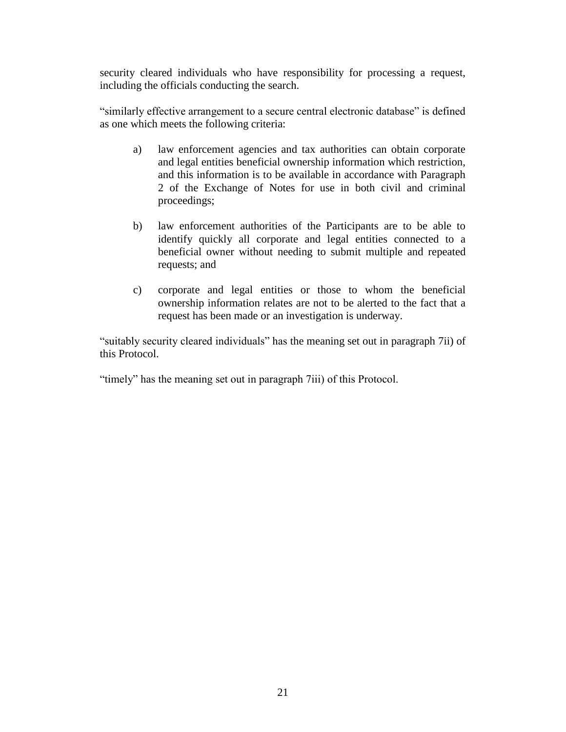security cleared individuals who have responsibility for processing a request, including the officials conducting the search.

"similarly effective arrangement to a secure central electronic database" is defined as one which meets the following criteria:

- a) law enforcement agencies and tax authorities can obtain corporate and legal entities beneficial ownership information which restriction, and this information is to be available in accordance with Paragraph 2 of the Exchange of Notes for use in both civil and criminal proceedings;
- b) law enforcement authorities of the Participants are to be able to identify quickly all corporate and legal entities connected to a beneficial owner without needing to submit multiple and repeated requests; and
- c) corporate and legal entities or those to whom the beneficial ownership information relates are not to be alerted to the fact that a request has been made or an investigation is underway.

"suitably security cleared individuals" has the meaning set out in paragraph 7ii) of this Protocol.

"timely" has the meaning set out in paragraph 7iii) of this Protocol.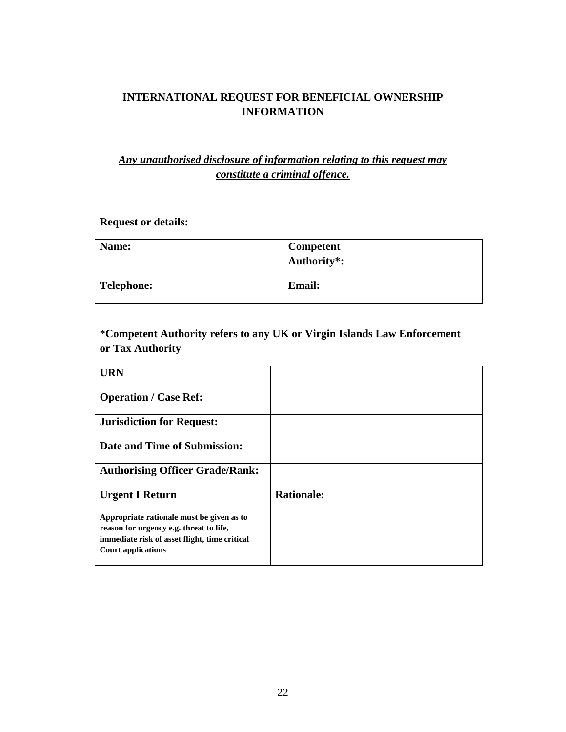# **INTERNATIONAL REQUEST FOR BENEFICIAL OWNERSHIP INFORMATION**

# *Any unauthorised disclosure of information relating to this request may constitute a criminal offence.*

# **Request or details:**

| Name:             | Competent<br>Authority*: |  |
|-------------------|--------------------------|--|
| <b>Telephone:</b> | <b>Email:</b>            |  |

\***Competent Authority refers to any UK or Virgin Islands Law Enforcement or Tax Authority**

| <b>URN</b>                                    |                   |
|-----------------------------------------------|-------------------|
| <b>Operation / Case Ref:</b>                  |                   |
| <b>Jurisdiction for Request:</b>              |                   |
| Date and Time of Submission:                  |                   |
| <b>Authorising Officer Grade/Rank:</b>        |                   |
| <b>Urgent I Return</b>                        | <b>Rationale:</b> |
| Appropriate rationale must be given as to     |                   |
| reason for urgency e.g. threat to life,       |                   |
| immediate risk of asset flight, time critical |                   |
| <b>Court applications</b>                     |                   |
|                                               |                   |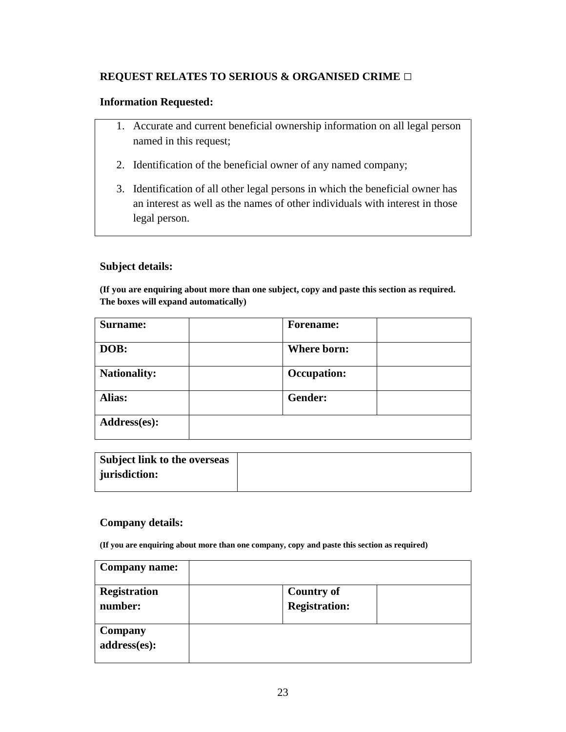## **REQUEST RELATES TO SERIOUS & ORGANISED CRIME □**

## **Information Requested:**

- 1. Accurate and current beneficial ownership information on all legal person named in this request;
- 2. Identification of the beneficial owner of any named company;
- 3. Identification of all other legal persons in which the beneficial owner has an interest as well as the names of other individuals with interest in those legal person.

### **Subject details:**

**(If you are enquiring about more than one subject, copy and paste this section as required. The boxes will expand automatically)**

| Surname:            | <b>Forename:</b>   |  |
|---------------------|--------------------|--|
| DOB:                | Where born:        |  |
| <b>Nationality:</b> | <b>Occupation:</b> |  |
| Alias:              | Gender:            |  |
| Address(es):        |                    |  |

| Subject link to the overseas |  |
|------------------------------|--|
| jurisdiction:                |  |
|                              |  |

### **Company details:**

**(If you are enquiring about more than one company, copy and paste this section as required)**

| <b>Company name:</b>    |                      |  |
|-------------------------|----------------------|--|
| <b>Registration</b>     | <b>Country of</b>    |  |
| number:                 | <b>Registration:</b> |  |
| Company<br>address(es): |                      |  |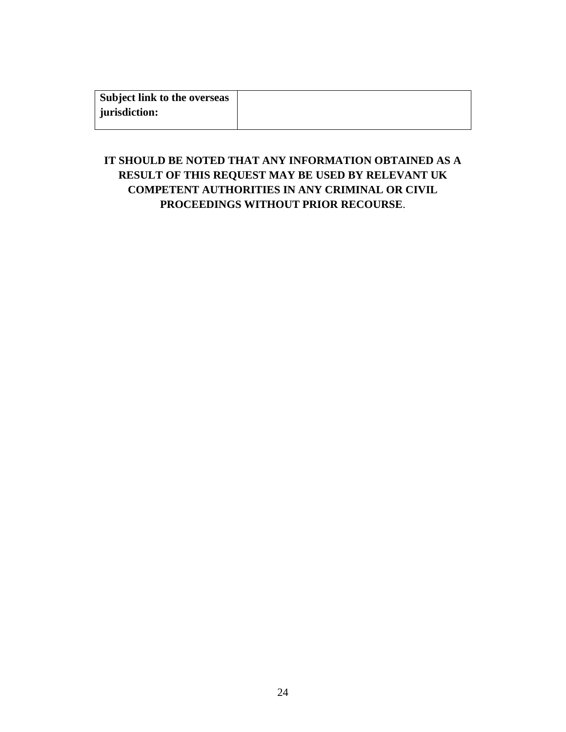| Subject link to the overseas |  |
|------------------------------|--|
| jurisdiction:                |  |
|                              |  |

# **IT SHOULD BE NOTED THAT ANY INFORMATION OBTAINED AS A RESULT OF THIS REQUEST MAY BE USED BY RELEVANT UK COMPETENT AUTHORITIES IN ANY CRIMINAL OR CIVIL PROCEEDINGS WITHOUT PRIOR RECOURSE**.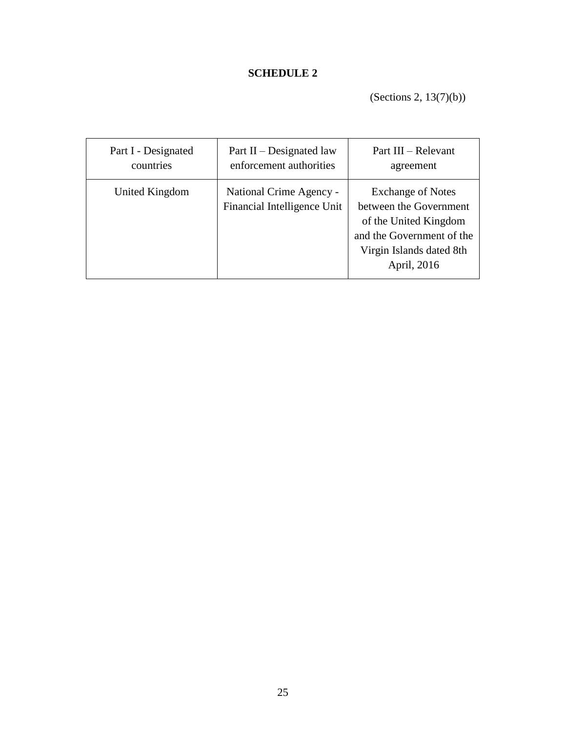# **SCHEDULE 2**

(Sections 2, 13(7)(b))

| Part I - Designated | Part $II$ – Designated law                             | Part III – Relevant                                                                                                                                 |
|---------------------|--------------------------------------------------------|-----------------------------------------------------------------------------------------------------------------------------------------------------|
| countries           | enforcement authorities                                | agreement                                                                                                                                           |
| United Kingdom      | National Crime Agency -<br>Financial Intelligence Unit | <b>Exchange of Notes</b><br>between the Government<br>of the United Kingdom<br>and the Government of the<br>Virgin Islands dated 8th<br>April, 2016 |